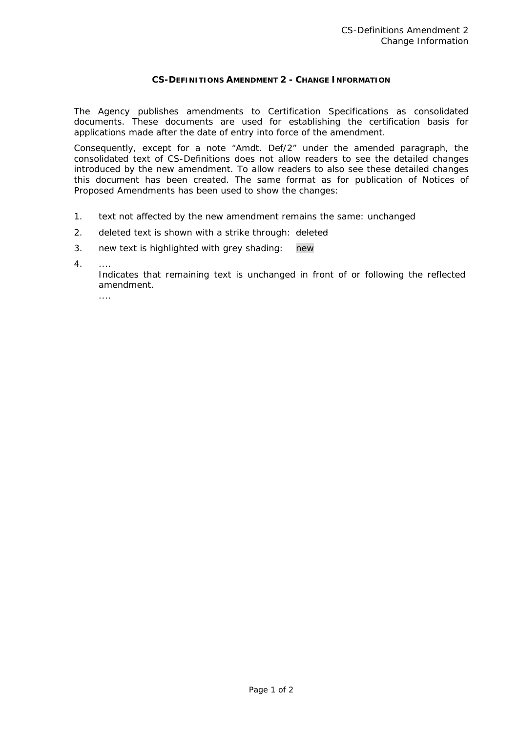## **CS-DEFINITIONS AMENDMENT 2 - CHANGE INFORMATION**

The Agency publishes amendments to Certification Specifications as consolidated documents. These documents are used for establishing the certification basis for applications made after the date of entry into force of the amendment.

Consequently, except for a note "Amdt. Def/2" under the amended paragraph, the consolidated text of CS-Definitions does not allow readers to see the detailed changes introduced by the new amendment. To allow readers to also see these detailed changes this document has been created. The same format as for publication of Notices of Proposed Amendments has been used to show the changes:

- 1. text not affected by the new amendment remains the same: unchanged
- 2. deleted text is shown with a strike through: deleted
- 3. new text is highlighted with grey shading: new
- 4. ....

 Indicates that remaining text is unchanged in front of or following the reflected amendment.

....